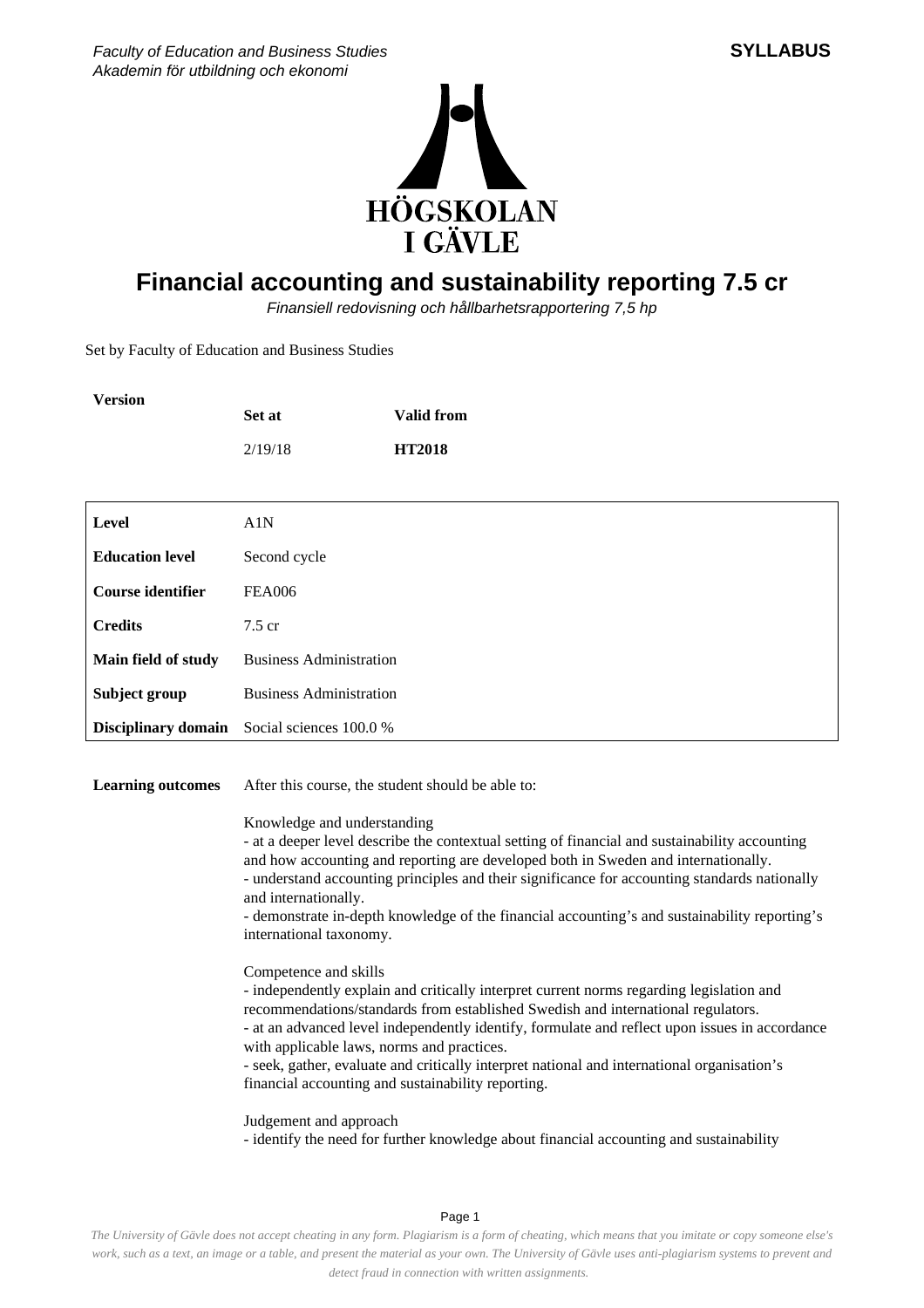

## **Financial accounting and sustainability reporting 7.5 cr**

Finansiell redovisning och hållbarhetsrapportering 7,5 hp

Set by Faculty of Education and Business Studies

| <b>Version</b>           |                                                    |                   |
|--------------------------|----------------------------------------------------|-------------------|
|                          | Set at                                             | <b>Valid from</b> |
|                          | 2/19/18                                            | <b>HT2018</b>     |
|                          |                                                    |                   |
| Level                    | A1N                                                |                   |
| <b>Education level</b>   | Second cycle                                       |                   |
| <b>Course identifier</b> | <b>FEA006</b>                                      |                   |
| <b>Credits</b>           | $7.5 \text{ cr}$                                   |                   |
| Main field of study      | <b>Business Administration</b>                     |                   |
| Subject group            | <b>Business Administration</b>                     |                   |
|                          | <b>Disciplinary domain</b> Social sciences 100.0 % |                   |

**Learning outcomes** After this course, the student should be able to:

Knowledge and understanding

- at a deeper level describe the contextual setting of financial and sustainability accounting and how accounting and reporting are developed both in Sweden and internationally. - understand accounting principles and their significance for accounting standards nationally and internationally.

- demonstrate in-depth knowledge of the financial accounting's and sustainability reporting's international taxonomy.

Competence and skills

- independently explain and critically interpret current norms regarding legislation and recommendations/standards from established Swedish and international regulators. - at an advanced level independently identify, formulate and reflect upon issues in accordance with applicable laws, norms and practices. - seek, gather, evaluate and critically interpret national and international organisation's

financial accounting and sustainability reporting.

Judgement and approach

- identify the need for further knowledge about financial accounting and sustainability

**SYLLABUS**

Page 1

*The University of Gävle does not accept cheating in any form. Plagiarism is a form of cheating, which means that you imitate or copy someone else's work, such as a text, an image or a table, and present the material as your own. The University of Gävle uses anti-plagiarism systems to prevent and detect fraud in connection with written assignments.*